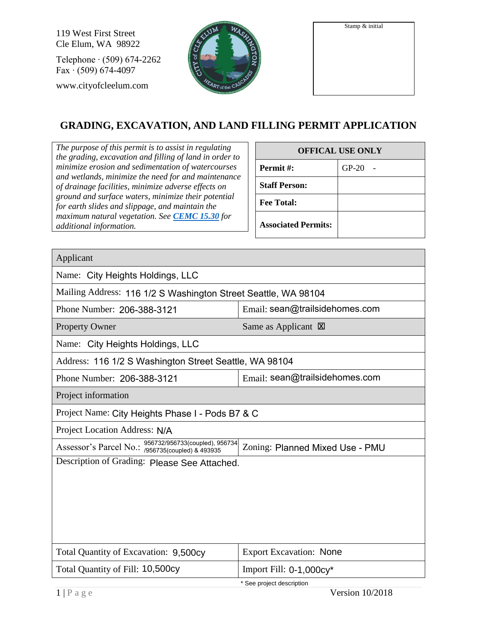119 West First Street Cle Elum, WA 98922

Telephone ∙ (509) 674-2262 Fax ∙ (509) 674-4097 www.cityofcleelum.com



| Stamp & initial |  |
|-----------------|--|
|                 |  |

## **GRADING, EXCAVATION, AND LAND FILLING PERMIT APPLICATION**

*The purpose of this permit is to assist in regulating the grading, excavation and filling of land in order to minimize erosion and sedimentation of watercourses and wetlands, minimize the need for and maintenance of drainage facilities, minimize adverse effects on ground and surface waters, minimize their potential for earth slides and slippage, and maintain the maximum natural vegetation. See [CEMC 15.30](https://cleelum.municipal.codes/CEMC/15.30) for additional information.*

| <b>OFFICAL USE ONLY</b>    |         |  |
|----------------------------|---------|--|
| Permit#:                   | $GP-20$ |  |
| <b>Staff Person:</b>       |         |  |
| <b>Fee Total:</b>          |         |  |
| <b>Associated Permits:</b> |         |  |

Applicant Name: City Heights Holdings, LLC Mailing Address: 116 1/2 S Washington Street Seattle, WA 98104 Phone Number: 206-388-3121 Property Owner Same as Applicant  $\boxtimes$ Name: City Heights Holdings, LLC Address: 116 1/2 S Washington Street Seattle, WA 98104 Phone Number: 206-388-3121 Email: sean@trailsidehomes.com Project information Project Name: City Heights Phase I - Pods B7 & C Project Location Address: N/A Assessor's Parcel No.:  $\frac{956732/956733(coupled), 956734}{956735(coupled), 8, 493935}$  Zoning: Description of Grading: Please See Attached. Total Quantity of Excavation: 9,500cy Total Quantity of Fill: 10,500cy Email:  $seq@train$  sean@trailsidehomes.com Oity Heights Holdings, LLC<br>
206-388-3121 Email: sean@trailsidehomes.com<br>
nformation<br>
Name: City Heights Phase I - Pods B7 & C<br>
20 Location Address: N/A<br>
2013 2001 - 206-386732/956733(coupled) & 493935<br>
2012 - Planned Mixed **Export Excavation: None** Import Fill: 0-1,000cy\*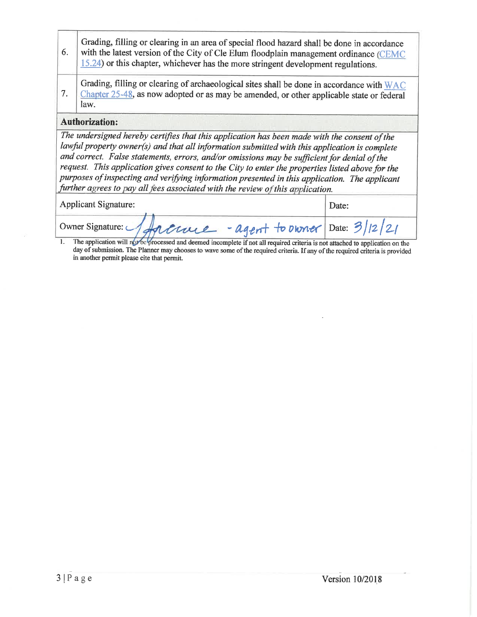- Grading, filling or clearing in an area of special flood hazard shall be done in accordance 6. with the latest version of the City of Cle Elum floodplain management ordinance (CEMC 15.24) or this chapter, whichever has the more stringent development regulations.
- Grading, filling or clearing of archaeological sites shall be done in accordance with WAC 7. Chapter 25-48, as now adopted or as may be amended, or other applicable state or federal law.

## **Authorization:**

The undersigned hereby certifies that this application has been made with the consent of the lawful property owner(s) and that all information submitted with this application is complete and correct. False statements, errors, and/or omissions may be sufficient for denial of the request. This application gives consent to the City to enter the properties listed above for the purposes of inspecting and verifying information presented in this application. The applicant further agrees to pay all fees associated with the review of this application.

| <b>Applicant Signature:</b> |                                                           | Date: |  |
|-----------------------------|-----------------------------------------------------------|-------|--|
|                             | Owner Signature: 1 Ancroce - agent to Diver Date: 3/12/21 |       |  |

The application will not be processed and deemed incomplete if not all required criteria is not attached to application on the  $\overline{1}$ . day of submission. The Planner may chooses to wave some of the required criteria. If any of the required criteria is provided in another permit please cite that permit.